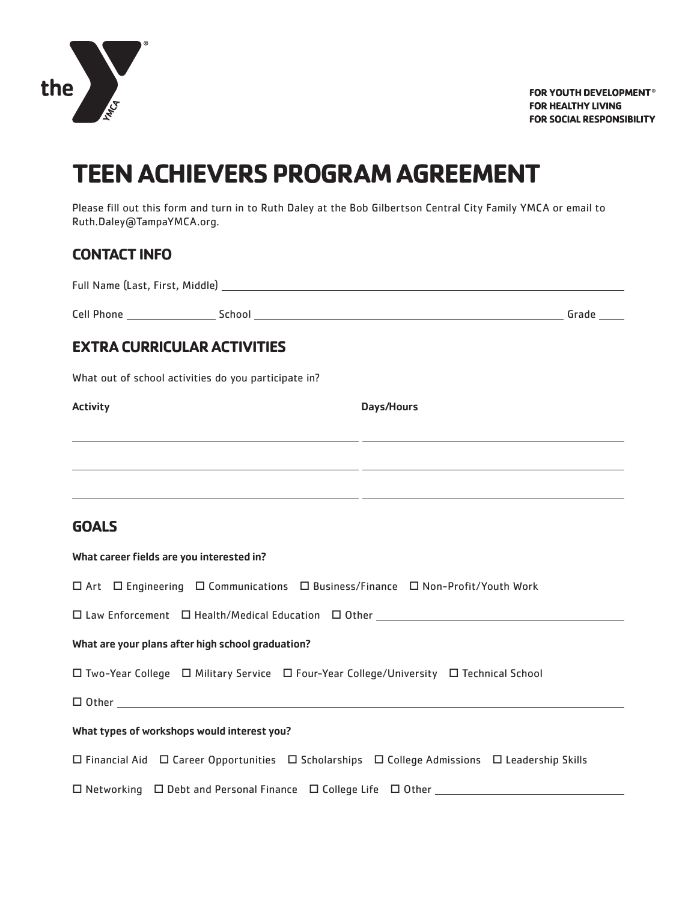

FOR YOUTH DEVELOPMENT® **FOR HEALTHY LIVING FOR SOCIAL RESPONSIBILITY** 

# **TEEN ACHIEVERS PROGRAM AGREEMENT**

Please fill out this form and turn in to Ruth Daley at the Bob Gilbertson Central City Family YMCA or email to Ruth.Daley@TampaYMCA.org.

#### **CONTACT INFO**

| Full Name (Last, First, Middle) |  |
|---------------------------------|--|
|                                 |  |

Cell Phone School Grade

### **EXTRA CURRICULAR ACTIVITIES**

What out of school activities do you participate in?

Activity **Days/Hours** 

#### **GOALS**

| What career fields are you interested in?                                                                               |  |  |  |
|-------------------------------------------------------------------------------------------------------------------------|--|--|--|
| $\Box$ Art $\Box$ Engineering $\Box$ Communications $\Box$ Business/Finance $\Box$ Non-Profit/Youth Work                |  |  |  |
| □ Law Enforcement □ Health/Medical Education □ Other ___________________________                                        |  |  |  |
| What are your plans after high school graduation?                                                                       |  |  |  |
| $\Box$ Two-Year College $\Box$ Military Service $\Box$ Four-Year College/University $\Box$ Technical School             |  |  |  |
|                                                                                                                         |  |  |  |
| What types of workshops would interest you?                                                                             |  |  |  |
| $\Box$ Financial Aid $\Box$ Career Opportunities $\Box$ Scholarships $\Box$ College Admissions $\Box$ Leadership Skills |  |  |  |
| $\Box$ Networking $\Box$ Debt and Personal Finance $\Box$ College Life $\Box$ Other                                     |  |  |  |